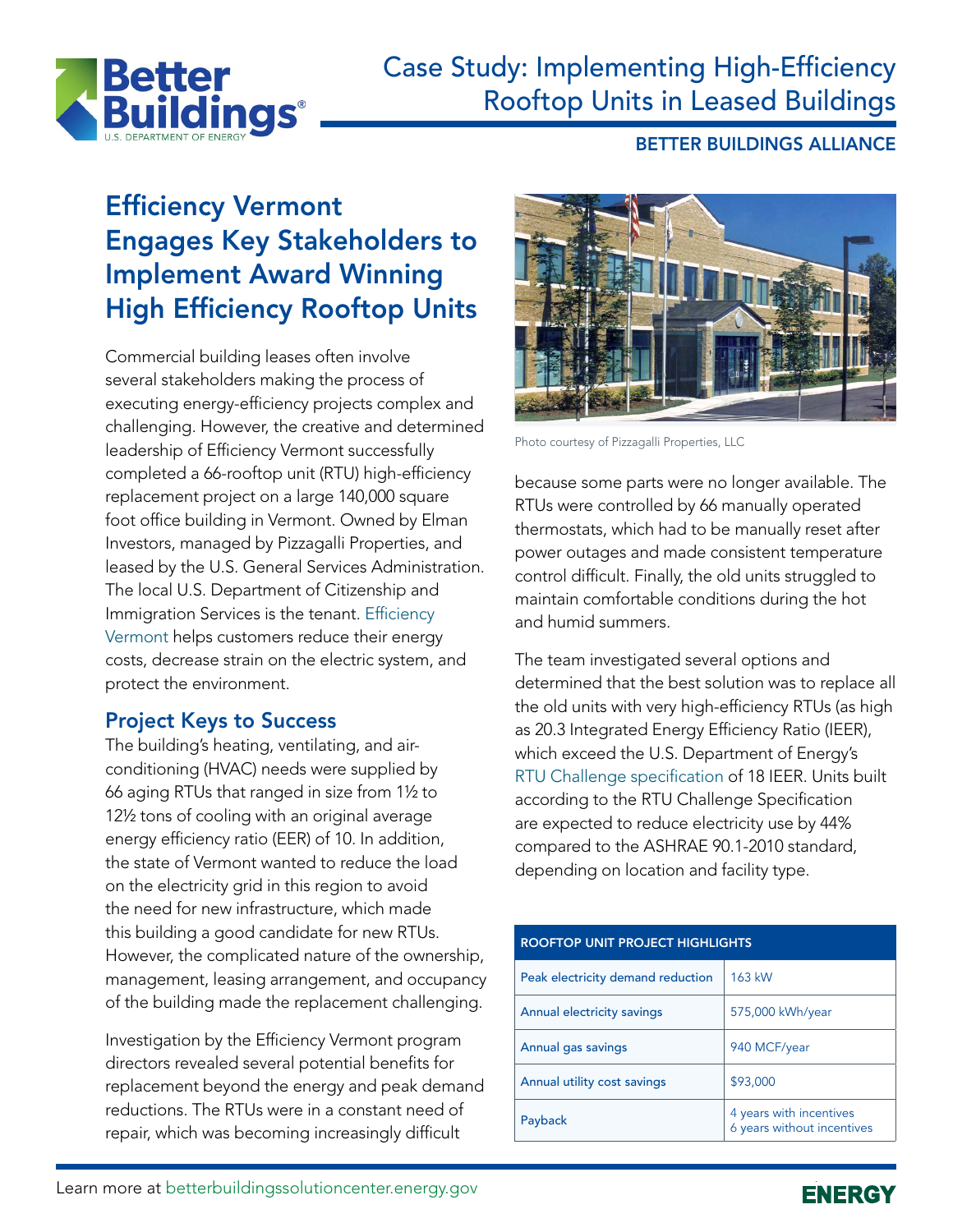

## Case Study: Implementing High-Efficiency Rooftop Units in Leased Buildings

#### BETTER BUILDINGS ALLIANCE

# Efficiency Vermont Engages Key Stakeholders to Implement Award Winning High Efficiency Rooftop Units

Commercial building leases often involve several stakeholders making the process of executing energy-efficiency projects complex and challenging. However, the creative and determined leadership of Efficiency Vermont successfully completed a 66-rooftop unit (RTU) high-efficiency replacement project on a large 140,000 square foot office building in Vermont. Owned by Elman Investors, managed by Pizzagalli Properties, and leased by the U.S. General Services Administration. The local U.S. Department of Citizenship and Immigration Services is the tenant. [Efficiency](https://www.efficiencyvermont.com/about/what-we-do)  [Vermont](https://www.efficiencyvermont.com/about/what-we-do) helps customers reduce their energy costs, decrease strain on the electric system, and protect the environment.

### Project Keys to Success

The building's heating, ventilating, and airconditioning (HVAC) needs were supplied by 66 aging RTUs that ranged in size from 11/2 to 12<sup>1</sup>/<sub>2</sub> tons of cooling with an original average energy efficiency ratio (EER) of 10. In addition, the state of Vermont wanted to reduce the load on the electricity grid in this region to avoid the need for new infrastructure, which made this building a good candidate for new RTUs. However, the complicated nature of the ownership, management, leasing arrangement, and occupancy of the building made the replacement challenging.

Investigation by the Efficiency Vermont program directors revealed several potential benefits for replacement beyond the energy and peak demand reductions. The RTUs were in a constant need of repair, which was becoming increasingly difficult



Photo courtesy of Pizzagalli Properties, LLC

because some parts were no longer available. The RTUs were controlled by 66 manually operated thermostats, which had to be manually reset after power outages and made consistent temperature control difficult. Finally, the old units struggled to maintain comfortable conditions during the hot and humid summers.

The team investigated several options and determined that the best solution was to replace all the old units with very high-efficiency RTUs (as high as 20.3 Integrated Energy Efficiency Ratio (IEER), which exceed the U.S. Department of Energy's [RTU Challenge specification](https://www4.eere.energy.gov/alliance/activities/technology-solutions-teams/space-conditioning/ARC) of 18 IEER. Units built according to the RTU Challenge Specification are expected to reduce electricity use by 44% compared to the ASHRAE 90.1-2010 standard, depending on location and facility type.

| <b>ROOFTOP UNIT PROJECT HIGHLIGHTS</b> |                                                       |
|----------------------------------------|-------------------------------------------------------|
| Peak electricity demand reduction      | 163 kW                                                |
| Annual electricity savings             | 575,000 kWh/year                                      |
| Annual gas savings                     | 940 MCF/year                                          |
| Annual utility cost savings            | \$93,000                                              |
| Payback                                | 4 years with incentives<br>6 years without incentives |